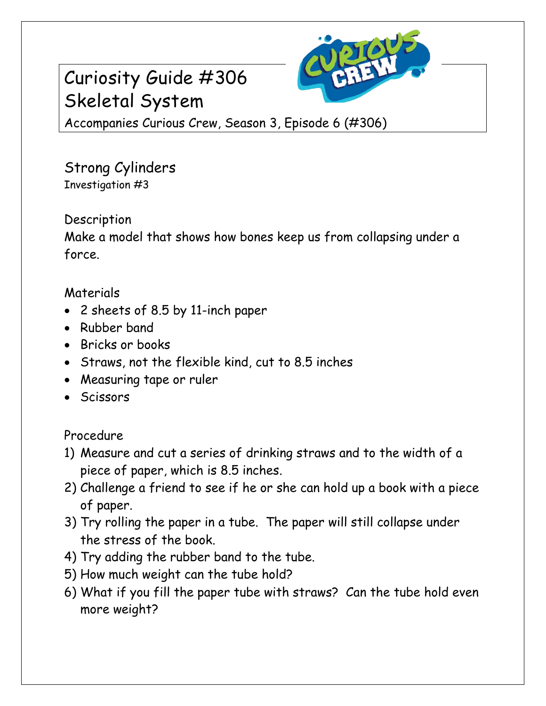

# Curiosity Guide #306 Skeletal System

Accompanies Curious Crew, Season 3, Episode 6 (#306)

Strong Cylinders Investigation #3

## Description

Make a model that shows how bones keep us from collapsing under a force.

## Materials

- 2 sheets of 8.5 by 11-inch paper
- Rubber band
- Bricks or books
- Straws, not the flexible kind, cut to 8.5 inches
- Measuring tape or ruler
- Scissors

## Procedure

- 1) Measure and cut a series of drinking straws and to the width of a piece of paper, which is 8.5 inches.
- 2) Challenge a friend to see if he or she can hold up a book with a piece of paper.
- 3) Try rolling the paper in a tube. The paper will still collapse under the stress of the book.
- 4) Try adding the rubber band to the tube.
- 5) How much weight can the tube hold?
- 6) What if you fill the paper tube with straws? Can the tube hold even more weight?